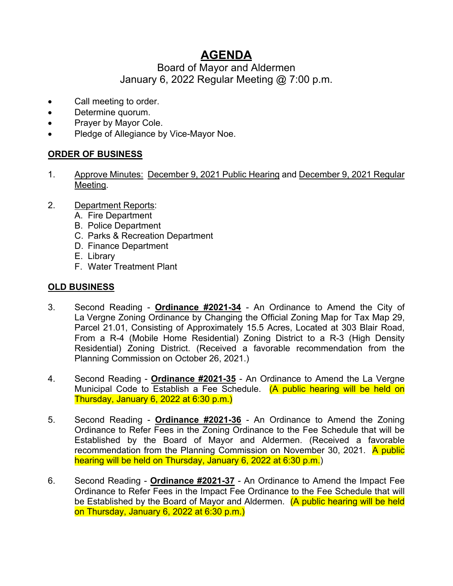# **AGENDA**

# Board of Mayor and Aldermen January 6, 2022 Regular Meeting @ 7:00 p.m.

- Call meeting to order.
- Determine quorum.
- Prayer by Mayor Cole.
- Pledge of Allegiance by Vice-Mayor Noe.

## **ORDER OF BUSINESS**

- 1. Approve Minutes: December 9, 2021 Public Hearing and December 9, 2021 Regular Meeting.
- 2. Department Reports:
	- A. Fire Department
	- B. Police Department
	- C. Parks & Recreation Department
	- D. Finance Department
	- E. Library
	- F. Water Treatment Plant

### **OLD BUSINESS**

- 3. Second Reading **Ordinance #2021-34** An Ordinance to Amend the City of La Vergne Zoning Ordinance by Changing the Official Zoning Map for Tax Map 29, Parcel 21.01, Consisting of Approximately 15.5 Acres, Located at 303 Blair Road, From a R-4 (Mobile Home Residential) Zoning District to a R-3 (High Density Residential) Zoning District. (Received a favorable recommendation from the Planning Commission on October 26, 2021.)
- 4. Second Reading **Ordinance #2021-35** An Ordinance to Amend the La Vergne Municipal Code to Establish a Fee Schedule. (A public hearing will be held on Thursday, January 6, 2022 at 6:30 p.m.)
- 5. Second Reading **Ordinance #2021-36** An Ordinance to Amend the Zoning Ordinance to Refer Fees in the Zoning Ordinance to the Fee Schedule that will be Established by the Board of Mayor and Aldermen. (Received a favorable recommendation from the Planning Commission on November 30, 2021. A public hearing will be held on Thursday, January 6, 2022 at 6:30 p.m.)
- 6. Second Reading **Ordinance #2021-37** An Ordinance to Amend the Impact Fee Ordinance to Refer Fees in the Impact Fee Ordinance to the Fee Schedule that will be Established by the Board of Mayor and Aldermen. (A public hearing will be held on Thursday, January 6, 2022 at 6:30 p.m.)